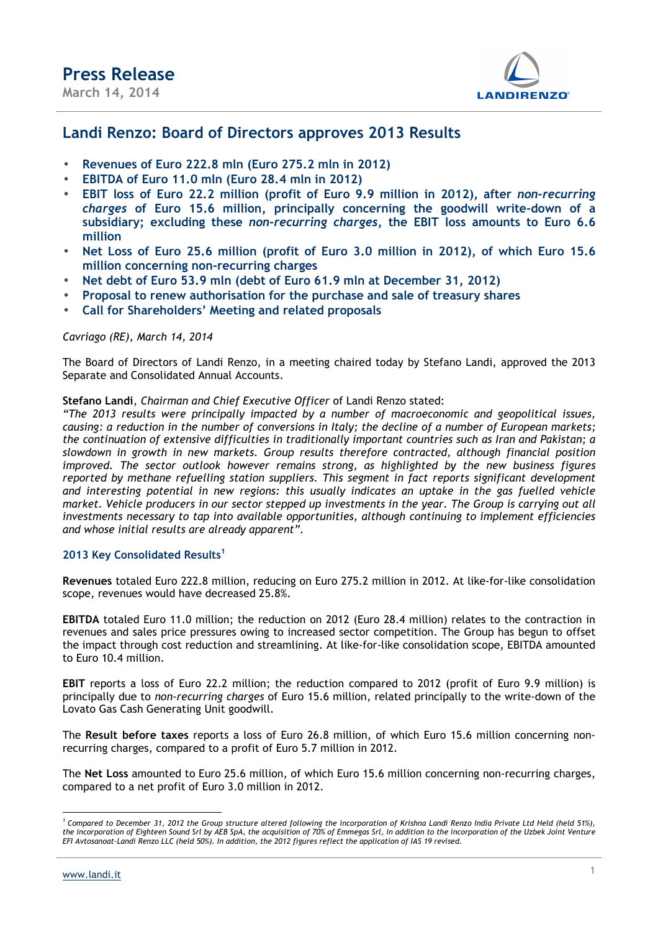

# **Landi Renzo: Board of Directors approves 2013 Results**

- **Revenues of Euro 222.8 mln (Euro 275.2 mln in 2012)**
- **EBITDA of Euro 11.0 mln (Euro 28.4 mln in 2012)**
- **EBIT loss of Euro 22.2 million (profit of Euro 9.9 million in 2012), after** *non-recurring charges* **of Euro 15.6 million, principally concerning the goodwill write-down of a subsidiary; excluding these** *non-recurring charges***, the EBIT loss amounts to Euro 6.6 million**
- **Net Loss of Euro 25.6 million (profit of Euro 3.0 million in 2012), of which Euro 15.6 million concerning non-recurring charges**
- **Net debt of Euro 53.9 mln (debt of Euro 61.9 mln at December 31, 2012)**
- **Proposal to renew authorisation for the purchase and sale of treasury shares**
- **Call for Shareholders' Meeting and related proposals**

## *Cavriago (RE), March 14, 2014*

The Board of Directors of Landi Renzo, in a meeting chaired today by Stefano Landi, approved the 2013 Separate and Consolidated Annual Accounts.

### **Stefano Landi**, *Chairman and Chief Executive Officer* of Landi Renzo stated:

*"The 2013 results were principally impacted by a number of macroeconomic and geopolitical issues, causing: a reduction in the number of conversions in Italy; the decline of a number of European markets; the continuation of extensive difficulties in traditionally important countries such as Iran and Pakistan; a slowdown in growth in new markets. Group results therefore contracted, although financial position improved. The sector outlook however remains strong, as highlighted by the new business figures reported by methane refuelling station suppliers. This segment in fact reports significant development and interesting potential in new regions: this usually indicates an uptake in the gas fuelled vehicle market. Vehicle producers in our sector stepped up investments in the year. The Group is carrying out all investments necessary to tap into available opportunities, although continuing to implement efficiencies and whose initial results are already apparent".* 

## **2013 Key Consolidated Results<sup>1</sup>**

**Revenues** totaled Euro 222.8 million, reducing on Euro 275.2 million in 2012. At like-for-like consolidation scope, revenues would have decreased 25.8%.

**EBITDA** totaled Euro 11.0 million; the reduction on 2012 (Euro 28.4 million) relates to the contraction in revenues and sales price pressures owing to increased sector competition. The Group has begun to offset the impact through cost reduction and streamlining. At like-for-like consolidation scope, EBITDA amounted to Euro 10.4 million.

**EBIT** reports a loss of Euro 22.2 million; the reduction compared to 2012 (profit of Euro 9.9 million) is principally due to *non-recurring charges* of Euro 15.6 million, related principally to the write-down of the Lovato Gas Cash Generating Unit goodwill.

The **Result before taxes** reports a loss of Euro 26.8 million, of which Euro 15.6 million concerning nonrecurring charges, compared to a profit of Euro 5.7 million in 2012.

The **Net Loss** amounted to Euro 25.6 million, of which Euro 15.6 million concerning non-recurring charges, compared to a net profit of Euro 3.0 million in 2012.

 $\overline{a}$ <sup>1</sup> Compared to December 31, 2012 the Group structure altered following the incorporation of Krishna Landi Renzo India Private Ltd Held (held 51%), *the incorporation of Eighteen Sound Srl by AEB SpA, the acquisition of 70% of Emmegas Srl, in addition to the incorporation of the Uzbek Joint Venture EFI Avtosanoat-Landi Renzo LLC (held 50%). In addition, the 2012 figures reflect the application of IAS 19 revised.*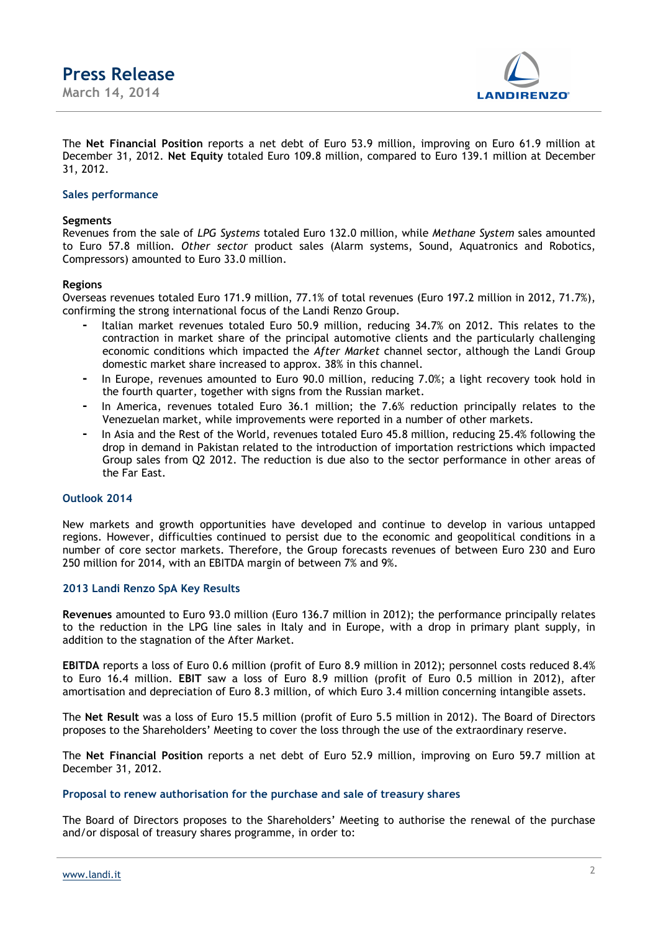**Press Release March 14, 2014** 



The **Net Financial Position** reports a net debt of Euro 53.9 million, improving on Euro 61.9 million at December 31, 2012. **Net Equity** totaled Euro 109.8 million, compared to Euro 139.1 million at December 31, 2012.

### **Sales performance**

#### **Segments**

Revenues from the sale of *LPG Systems* totaled Euro 132.0 million, while *Methane System* sales amounted to Euro 57.8 million. *Other sector* product sales (Alarm systems, Sound, Aquatronics and Robotics, Compressors) amounted to Euro 33.0 million.

### **Regions**

Overseas revenues totaled Euro 171.9 million, 77.1% of total revenues (Euro 197.2 million in 2012, 71.7%), confirming the strong international focus of the Landi Renzo Group.

- **-** Italian market revenues totaled Euro 50.9 million, reducing 34.7% on 2012. This relates to the contraction in market share of the principal automotive clients and the particularly challenging economic conditions which impacted the *After Market* channel sector, although the Landi Group domestic market share increased to approx. 38% in this channel.
- **-** In Europe, revenues amounted to Euro 90.0 million, reducing 7.0%; a light recovery took hold in the fourth quarter, together with signs from the Russian market.
- **-** In America, revenues totaled Euro 36.1 million; the 7.6% reduction principally relates to the Venezuelan market, while improvements were reported in a number of other markets.
- **-** In Asia and the Rest of the World, revenues totaled Euro 45.8 million, reducing 25.4% following the drop in demand in Pakistan related to the introduction of importation restrictions which impacted Group sales from Q2 2012. The reduction is due also to the sector performance in other areas of the Far East.

### **Outlook 2014**

New markets and growth opportunities have developed and continue to develop in various untapped regions. However, difficulties continued to persist due to the economic and geopolitical conditions in a number of core sector markets. Therefore, the Group forecasts revenues of between Euro 230 and Euro 250 million for 2014, with an EBITDA margin of between 7% and 9%.

### **2013 Landi Renzo SpA Key Results**

**Revenues** amounted to Euro 93.0 million (Euro 136.7 million in 2012); the performance principally relates to the reduction in the LPG line sales in Italy and in Europe, with a drop in primary plant supply, in addition to the stagnation of the After Market.

**EBITDA** reports a loss of Euro 0.6 million (profit of Euro 8.9 million in 2012); personnel costs reduced 8.4% to Euro 16.4 million. **EBIT** saw a loss of Euro 8.9 million (profit of Euro 0.5 million in 2012), after amortisation and depreciation of Euro 8.3 million, of which Euro 3.4 million concerning intangible assets.

The **Net Result** was a loss of Euro 15.5 million (profit of Euro 5.5 million in 2012). The Board of Directors proposes to the Shareholders' Meeting to cover the loss through the use of the extraordinary reserve.

The **Net Financial Position** reports a net debt of Euro 52.9 million, improving on Euro 59.7 million at December 31, 2012.

#### **Proposal to renew authorisation for the purchase and sale of treasury shares**

The Board of Directors proposes to the Shareholders' Meeting to authorise the renewal of the purchase and/or disposal of treasury shares programme, in order to: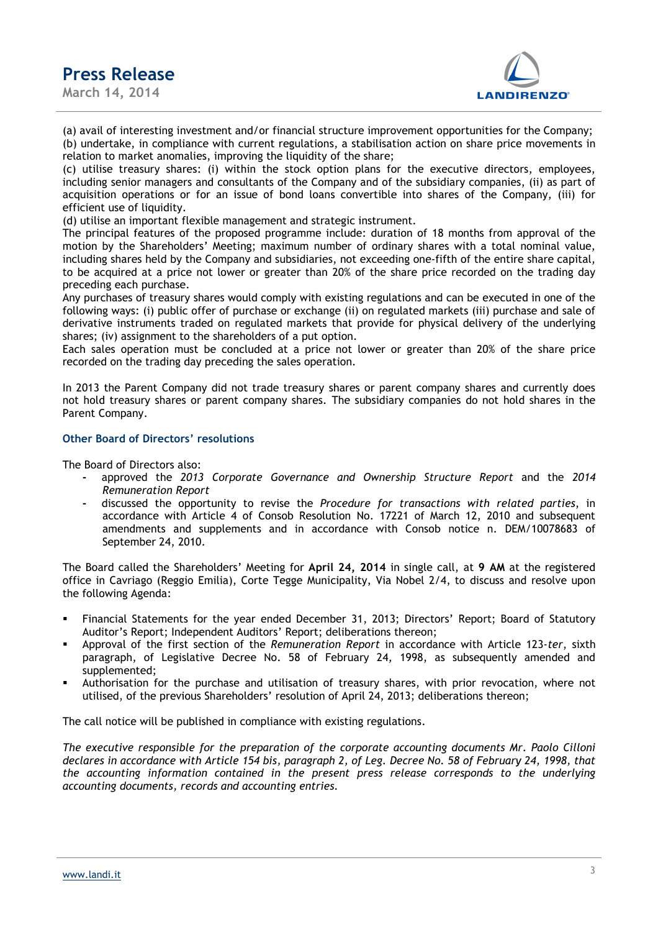**March 14, 2014** 



(a) avail of interesting investment and/or financial structure improvement opportunities for the Company; (b) undertake, in compliance with current regulations, a stabilisation action on share price movements in relation to market anomalies, improving the liquidity of the share;

(c) utilise treasury shares: (i) within the stock option plans for the executive directors, employees, including senior managers and consultants of the Company and of the subsidiary companies, (ii) as part of acquisition operations or for an issue of bond loans convertible into shares of the Company, (iii) for efficient use of liquidity.

(d) utilise an important flexible management and strategic instrument.

The principal features of the proposed programme include: duration of 18 months from approval of the motion by the Shareholders' Meeting; maximum number of ordinary shares with a total nominal value, including shares held by the Company and subsidiaries, not exceeding one-fifth of the entire share capital, to be acquired at a price not lower or greater than 20% of the share price recorded on the trading day preceding each purchase.

Any purchases of treasury shares would comply with existing regulations and can be executed in one of the following ways: (i) public offer of purchase or exchange (ii) on regulated markets (iii) purchase and sale of derivative instruments traded on regulated markets that provide for physical delivery of the underlying shares; (iv) assignment to the shareholders of a put option.

Each sales operation must be concluded at a price not lower or greater than 20% of the share price recorded on the trading day preceding the sales operation.

In 2013 the Parent Company did not trade treasury shares or parent company shares and currently does not hold treasury shares or parent company shares. The subsidiary companies do not hold shares in the Parent Company.

### **Other Board of Directors' resolutions**

The Board of Directors also:

- **-** approved the *2013 Corporate Governance and Ownership Structure Report* and the *2014 Remuneration Report*
- **-** discussed the opportunity to revise the *Procedure for transactions with related parties*, in accordance with Article 4 of Consob Resolution No. 17221 of March 12, 2010 and subsequent amendments and supplements and in accordance with Consob notice n. DEM/10078683 of September 24, 2010.

The Board called the Shareholders' Meeting for **April 24, 2014** in single call, at **9 AM** at the registered office in Cavriago (Reggio Emilia), Corte Tegge Municipality, Via Nobel 2/4, to discuss and resolve upon the following Agenda:

- Financial Statements for the year ended December 31, 2013; Directors' Report; Board of Statutory Auditor's Report; Independent Auditors' Report; deliberations thereon;
- Approval of the first section of the *Remuneration Report* in accordance with Article 123-*ter*, sixth paragraph, of Legislative Decree No. 58 of February 24, 1998, as subsequently amended and supplemented;
- Authorisation for the purchase and utilisation of treasury shares, with prior revocation, where not utilised, of the previous Shareholders' resolution of April 24, 2013; deliberations thereon;

The call notice will be published in compliance with existing regulations.

*The executive responsible for the preparation of the corporate accounting documents Mr. Paolo Cilloni declares in accordance with Article 154 bis, paragraph 2, of Leg. Decree No. 58 of February 24, 1998, that the accounting information contained in the present press release corresponds to the underlying accounting documents, records and accounting entries.*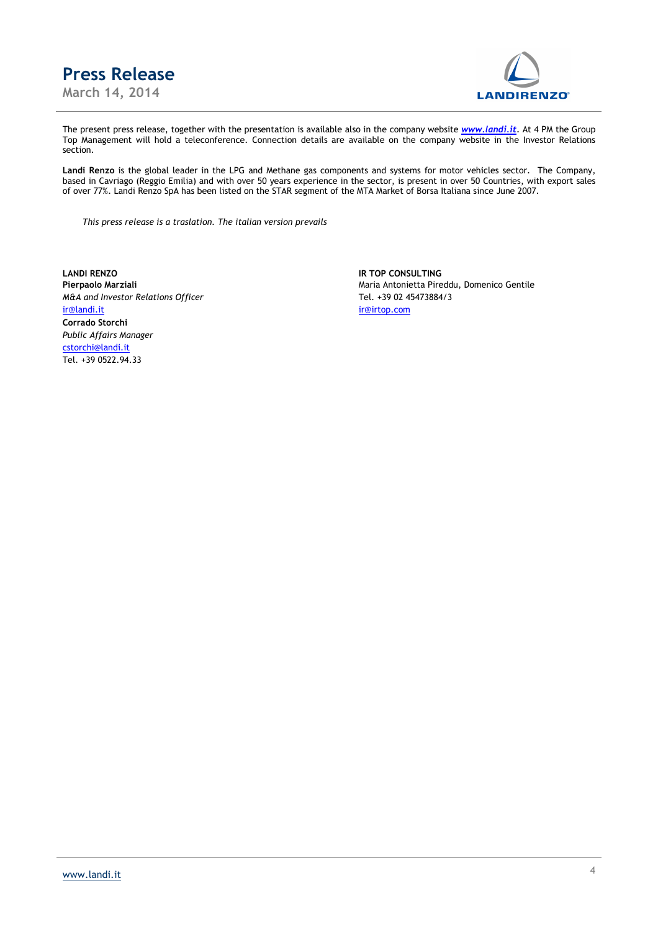



The present press release, together with the presentation is available also in the company website *www.landi.it.* At 4 PM the Group Top Management will hold a teleconference. Connection details are available on the company website in the Investor Relations section.

**Landi Renzo** is the global leader in the LPG and Methane gas components and systems for motor vehicles sector. The Company, based in Cavriago (Reggio Emilia) and with over 50 years experience in the sector, is present in over 50 Countries, with export sales of over 77%. Landi Renzo SpA has been listed on the STAR segment of the MTA Market of Borsa Italiana since June 2007.

*This press release is a traslation. The italian version prevails* 

**LANDI RENZO IR TOP CONSULTING** *M&A and Investor Relations Officer* Tel. +39 02 45473884/3 ir@landi.it ir@irtop.com **Corrado Storchi**  *Public Affairs Manager*  cstorchi@landi.it Tel. +39 0522.94.33

Pierpaolo Marziali **Maria Antonietta Pireddu**, Domenico Gentile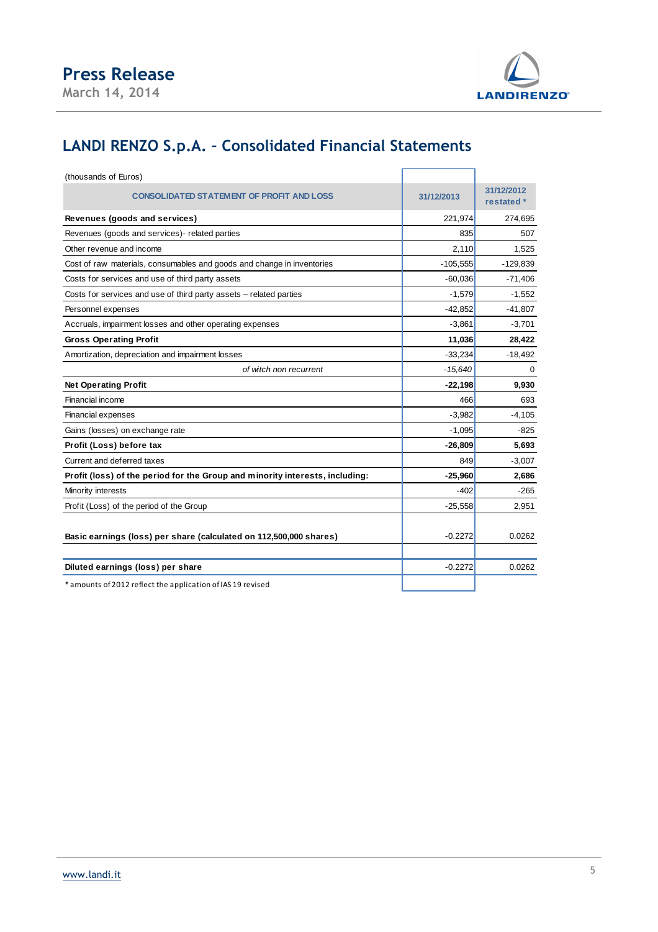



# **LANDI RENZO S.p.A. – Consolidated Financial Statements**

| (thousands of Euros)                                                         |            |                          |
|------------------------------------------------------------------------------|------------|--------------------------|
| <b>CONSOLIDATED STATEMENT OF PROFIT AND LOSS</b>                             | 31/12/2013 | 31/12/2012<br>restated * |
| Revenues (goods and services)                                                | 221,974    | 274,695                  |
| Revenues (goods and services)- related parties                               | 835        | 507                      |
| Other revenue and income                                                     | 2,110      | 1,525                    |
| Cost of raw materials, consumables and goods and change in inventories       | $-105,555$ | $-129,839$               |
| Costs for services and use of third party assets                             | $-60,036$  | $-71,406$                |
| Costs for services and use of third party assets - related parties           | $-1,579$   | $-1,552$                 |
| Personnel expenses                                                           | $-42,852$  | $-41,807$                |
| Accruals, impairment losses and other operating expenses                     | $-3,861$   | $-3,701$                 |
| <b>Gross Operating Profit</b>                                                | 11,036     | 28,422                   |
| Amortization, depreciation and impairment losses                             | $-33,234$  | $-18,492$                |
| of witch non recurrent                                                       | $-15,640$  | $\Omega$                 |
| <b>Net Operating Profit</b>                                                  | $-22,198$  | 9,930                    |
| Financial income                                                             | 466        | 693                      |
| Financial expenses                                                           | $-3,982$   | $-4,105$                 |
| Gains (losses) on exchange rate                                              | $-1,095$   | -825                     |
| Profit (Loss) before tax                                                     | $-26,809$  | 5,693                    |
| Current and deferred taxes                                                   | 849        | $-3,007$                 |
| Profit (loss) of the period for the Group and minority interests, including: | $-25,960$  | 2,686                    |
| Minority interests                                                           | $-402$     | -265                     |
| Profit (Loss) of the period of the Group                                     | $-25,558$  | 2,951                    |
| Basic earnings (loss) per share (calculated on 112,500,000 shares)           | $-0.2272$  | 0.0262                   |
| Diluted earnings (loss) per share                                            | $-0.2272$  | 0.0262                   |
| * amounts of 2012 reflect the application of IAS 19 revised                  |            |                          |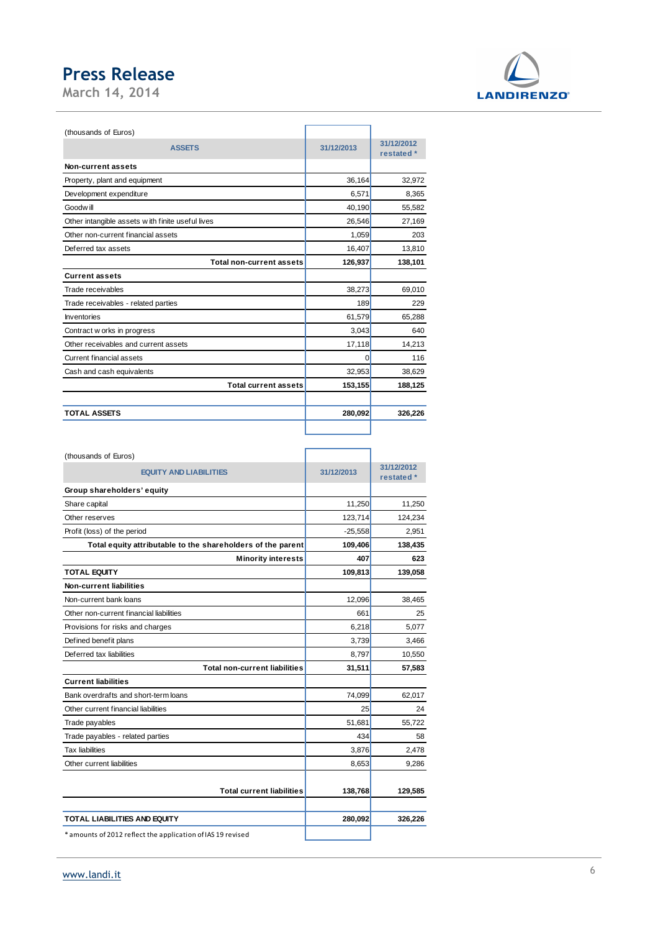**March 14, 2014** 



| (thousands of Euros)                             |            |                          |
|--------------------------------------------------|------------|--------------------------|
| <b>ASSETS</b>                                    | 31/12/2013 | 31/12/2012<br>restated * |
| Non-current assets                               |            |                          |
| Property, plant and equipment                    | 36,164     | 32,972                   |
| Development expenditure                          | 6,571      | 8,365                    |
| Goodwill                                         | 40,190     | 55,582                   |
| Other intangible assets with finite useful lives | 26,546     | 27,169                   |
| Other non-current financial assets               | 1,059      | 203                      |
| Deferred tax assets                              | 16,407     | 13,810                   |
| Total non-current assets                         | 126,937    | 138,101                  |
| <b>Current assets</b>                            |            |                          |
| Trade receivables                                | 38,273     | 69,010                   |
| Trade receivables - related parties              | 189        | 229                      |
| Inventories                                      | 61,579     | 65,288                   |
| Contract w orks in progress                      | 3,043      | 640                      |
| Other receivables and current assets             | 17,118     | 14,213                   |
| <b>Current financial assets</b>                  | 0          | 116                      |
| Cash and cash equivalents                        | 32,953     | 38,629                   |
| <b>Total current assets</b>                      | 153,155    | 188,125                  |
|                                                  |            |                          |
| <b>TOTAL ASSETS</b>                              | 280,092    | 326,226                  |
|                                                  |            |                          |

| (thousands of Euros)                                        |            |                          |
|-------------------------------------------------------------|------------|--------------------------|
| <b>EQUITY AND LIABILITIES</b>                               | 31/12/2013 | 31/12/2012<br>restated * |
| Group shareholders' equity                                  |            |                          |
| Share capital                                               | 11,250     | 11,250                   |
| Other reserves                                              | 123,714    | 124,234                  |
| Profit (loss) of the period                                 | $-25,558$  | 2,951                    |
| Total equity attributable to the shareholders of the parent | 109,406    | 138,435                  |
| <b>Minority interests</b>                                   | 407        | 623                      |
| <b>TOTAL EQUITY</b>                                         | 109,813    | 139,058                  |
| <b>Non-current liabilities</b>                              |            |                          |
| Non-current bank loans                                      | 12,096     | 38,465                   |
| Other non-current financial liabilities                     | 661        | 25                       |
| Provisions for risks and charges                            | 6,218      | 5,077                    |
| Defined benefit plans                                       | 3.739      | 3,466                    |
| Deferred tax liabilities                                    | 8.797      | 10,550                   |
| <b>Total non-current liabilities</b>                        | 31,511     | 57,583                   |
| <b>Current liabilities</b>                                  |            |                          |
| Bank overdrafts and short-term loans                        | 74,099     | 62,017                   |
| Other current financial liabilities                         | 25         | 24                       |
| Trade payables                                              | 51,681     | 55,722                   |
| Trade payables - related parties                            | 434        | 58                       |
| <b>Tax liabilities</b>                                      | 3,876      | 2,478                    |
| Other current liabilities                                   | 8,653      | 9,286                    |
|                                                             |            |                          |
| <b>Total current liabilities</b>                            | 138,768    | 129,585                  |
|                                                             |            |                          |
| <b>TOTAL LIABILITIES AND EQUITY</b>                         | 280,092    | 326,226                  |
| * amounts of 2012 reflect the application of IAS 19 revised |            |                          |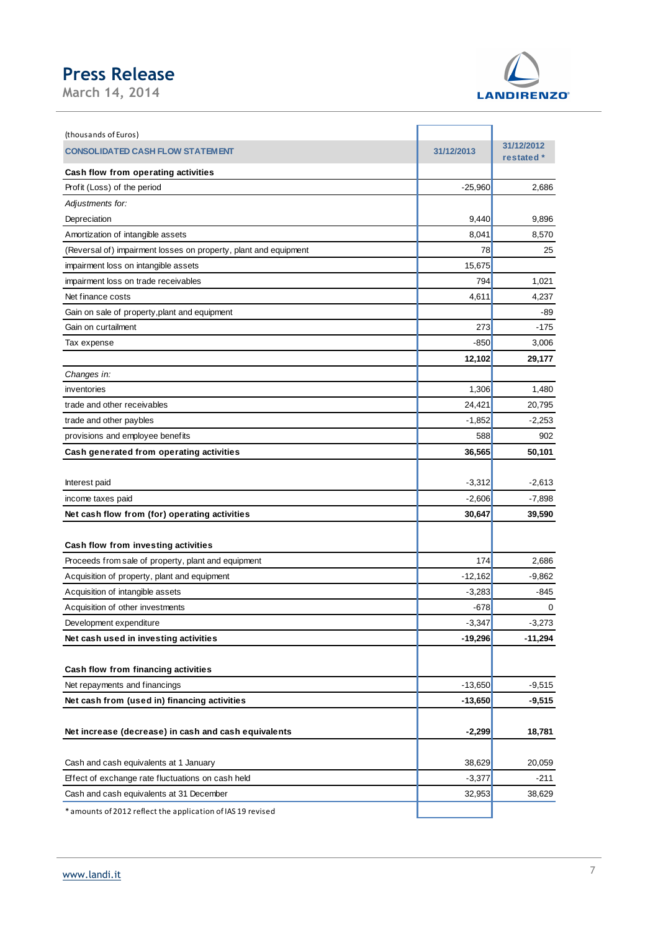**March 14, 2014** 



| (thousands of Euros)                                             |            |                          |
|------------------------------------------------------------------|------------|--------------------------|
| <b>CONSOLIDATED CASH FLOW STATEMENT</b>                          | 31/12/2013 | 31/12/2012<br>restated * |
| <b>Cash flow from operating activities</b>                       |            |                          |
| Profit (Loss) of the period                                      | $-25,960$  | 2,686                    |
| Adjustments for:                                                 |            |                          |
| Depreciation                                                     | 9,440      | 9,896                    |
| Amortization of intangible assets                                | 8,041      | 8,570                    |
| (Reversal of) impairment losses on property, plant and equipment | 78         | 25                       |
| impairment loss on intangible assets                             | 15,675     |                          |
| impairment loss on trade receivables                             | 794        | 1,021                    |
| Net finance costs                                                | 4,611      | 4,237                    |
| Gain on sale of property, plant and equipment                    |            | -89                      |
| Gain on curtailment                                              | 273        | $-175$                   |
| Tax expense                                                      | $-850$     | 3,006                    |
|                                                                  | 12,102     | 29,177                   |
| Changes in:                                                      |            |                          |
| inventories                                                      | 1,306      | 1,480                    |
| trade and other receivables                                      | 24,421     | 20,795                   |
| trade and other paybles                                          | $-1,852$   | $-2,253$                 |
| provisions and employee benefits                                 | 588        | 902                      |
| Cash generated from operating activities                         | 36,565     | 50,101                   |
|                                                                  |            |                          |
| Interest paid                                                    | $-3,312$   | $-2,613$                 |
| income taxes paid                                                | $-2,606$   | $-7,898$                 |
| Net cash flow from (for) operating activities                    | 30,647     | 39,590                   |
|                                                                  |            |                          |
| Cash flow from investing activities                              |            |                          |
| Proceeds from sale of property, plant and equipment              | 174        | 2,686                    |
| Acquisition of property, plant and equipment                     | $-12,162$  | $-9,862$                 |
| Acquisition of intangible assets                                 | $-3,283$   | $-845$                   |
| Acquisition of other investments                                 | -678       | 0                        |
| Development expenditure                                          | $-3,347$   | $-3,273$                 |
| Net cash used in investing activities                            | $-19,296$  | $-11,294$                |
|                                                                  |            |                          |
| Cash flow from financing activities                              |            |                          |
| Net repayments and financings                                    | $-13,650$  | $-9,515$                 |
| Net cash from (used in) financing activities                     | $-13,650$  | $-9,515$                 |
|                                                                  |            |                          |
| Net increase (decrease) in cash and cash equivalents             | $-2,299$   | 18,781                   |
|                                                                  |            |                          |
| Cash and cash equivalents at 1 January                           | 38,629     | 20,059                   |
| Effect of exchange rate fluctuations on cash held                | $-3,377$   | $-211$                   |
| Cash and cash equivalents at 31 December                         | 32,953     | 38,629                   |
| * amounts of 2012 reflect the application of IAS 19 revised      |            |                          |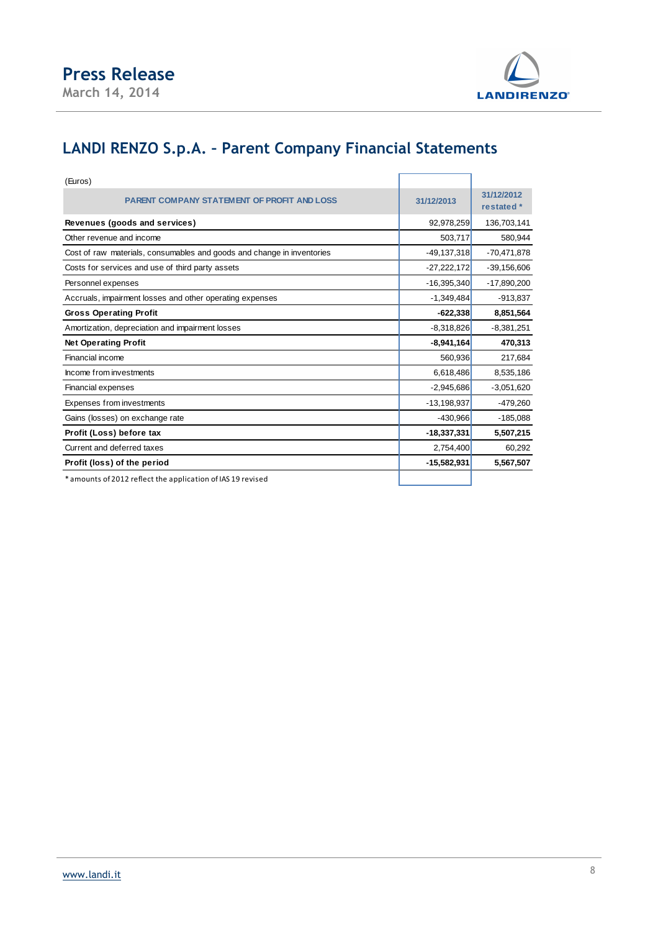



# **LANDI RENZO S.p.A. – Parent Company Financial Statements**

| (Euros)                                                                |               |                          |
|------------------------------------------------------------------------|---------------|--------------------------|
| <b>PARENT COMPANY STATEMENT OF PROFIT AND LOSS</b>                     | 31/12/2013    | 31/12/2012<br>restated * |
| Revenues (goods and services)                                          | 92,978,259    | 136,703,141              |
| Other revenue and income                                               | 503,717       | 580,944                  |
| Cost of raw materials, consumables and goods and change in inventories | $-49,137,318$ | $-70,471,878$            |
| Costs for services and use of third party assets                       | $-27,222,172$ | $-39,156,606$            |
| Personnel expenses                                                     | $-16,395,340$ | $-17,890,200$            |
| Accruals, impairment losses and other operating expenses               | $-1,349,484$  | $-913,837$               |
| <b>Gross Operating Profit</b>                                          | $-622,338$    | 8,851,564                |
| Amortization, depreciation and impairment losses                       | $-8,318,826$  | $-8,381,251$             |
| <b>Net Operating Profit</b>                                            | $-8,941,164$  | 470,313                  |
| Financial income                                                       | 560,936       | 217,684                  |
| Income from investments                                                | 6,618,486     | 8,535,186                |
| Financial expenses                                                     | $-2,945,686$  | $-3,051,620$             |
| Expenses from investments                                              | $-13,198,937$ | $-479,260$               |
| Gains (losses) on exchange rate                                        | $-430,966$    | $-185,088$               |
| Profit (Loss) before tax                                               | $-18,337,331$ | 5,507,215                |
| Current and deferred taxes                                             | 2,754,400     | 60,292                   |
| Profit (loss) of the period                                            | $-15,582,931$ | 5,567,507                |
| * amounts of 2012 reflect the application of IAS 19 revised            |               |                          |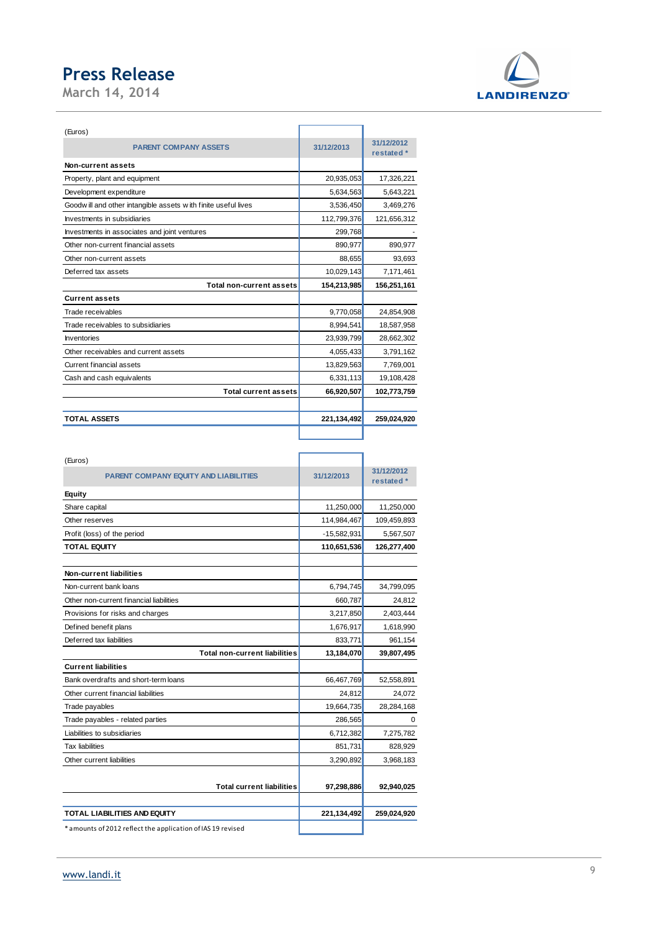**March 14, 2014** 



| <b>TOTAL ASSETS</b>                                            | 221,134,492 | 259,024,920              |
|----------------------------------------------------------------|-------------|--------------------------|
|                                                                |             |                          |
| <b>Total current assets</b>                                    | 66,920,507  | 102,773,759              |
| Cash and cash equivalents                                      | 6,331,113   | 19,108,428               |
| <b>Current financial assets</b>                                | 13,829,563  | 7,769,001                |
| Other receivables and current assets                           | 4,055,433   | 3,791,162                |
| Inventories                                                    | 23,939,799  | 28,662,302               |
| Trade receivables to subsidiaries                              | 8,994,541   | 18,587,958               |
| Trade receivables                                              | 9,770,058   | 24,854,908               |
| <b>Current assets</b>                                          |             |                          |
| <b>Total non-current assets</b>                                | 154,213,985 | 156,251,161              |
| Deferred tax assets                                            | 10,029,143  | 7,171,461                |
| Other non-current assets                                       | 88.655      | 93.693                   |
| Other non-current financial assets                             | 890,977     | 890,977                  |
| Investments in associates and joint ventures                   | 299,768     |                          |
| Investments in subsidiaries                                    | 112,799,376 | 121,656,312              |
| Goodw ill and other intangible assets with finite useful lives | 3,536,450   | 3,469,276                |
| Development expenditure                                        | 5,634,563   | 5,643,221                |
| Property, plant and equipment                                  | 20,935,053  | 17,326,221               |
| Non-current assets                                             |             |                          |
| <b>PARENT COMPANY ASSETS</b>                                   | 31/12/2013  | 31/12/2012<br>restated * |
| (Euros)                                                        |             |                          |

| (Euros)                                                     |               |             |
|-------------------------------------------------------------|---------------|-------------|
| <b>PARENT COMPANY EQUITY AND LIABILITIES</b>                | 31/12/2013    | 31/12/2012  |
|                                                             |               | restated *  |
| <b>Equity</b>                                               |               |             |
| Share capital                                               | 11,250,000    | 11,250,000  |
| Other reserves                                              | 114,984,467   | 109,459,893 |
| Profit (loss) of the period                                 | $-15,582,931$ | 5,567,507   |
| <b>TOTAL EQUITY</b>                                         | 110,651,536   | 126,277,400 |
|                                                             |               |             |
| Non-current liabilities                                     |               |             |
| Non-current bank loans                                      | 6,794,745     | 34,799,095  |
| Other non-current financial liabilities                     | 660,787       | 24,812      |
| Provisions for risks and charges                            | 3,217,850     | 2,403,444   |
| Defined benefit plans                                       | 1,676,917     | 1,618,990   |
| Deferred tax liabilities                                    | 833,771       | 961,154     |
| <b>Total non-current liabilities</b>                        | 13,184,070    | 39,807,495  |
| <b>Current liabilities</b>                                  |               |             |
| Bank overdrafts and short-term loans                        | 66,467,769    | 52,558,891  |
| Other current financial liabilities                         | 24,812        | 24.072      |
| Trade payables                                              | 19,664,735    | 28,284,168  |
| Trade payables - related parties                            | 286,565       | $\Omega$    |
| Liabilities to subsidiaries                                 | 6,712,382     | 7,275,782   |
| <b>Tax liabilities</b>                                      | 851,731       | 828,929     |
| Other current liabilities                                   | 3,290,892     | 3,968,183   |
|                                                             |               |             |
| <b>Total current liabilities</b>                            | 97,298,886    | 92,940,025  |
|                                                             |               |             |
| <b>TOTAL LIABILITIES AND EQUITY</b>                         | 221,134,492   | 259,024,920 |
| * amounts of 2012 reflect the application of IAS 19 revised |               |             |
|                                                             |               |             |